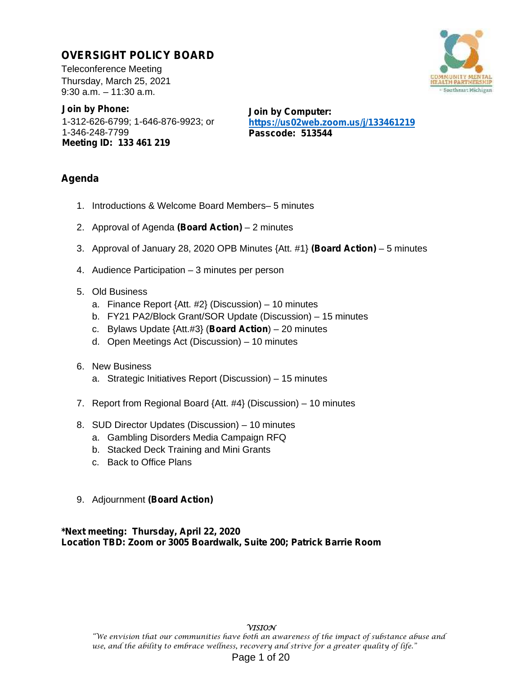# **OVERSIGHT POLICY BOARD**

Teleconference Meeting Thursday, March 25, 2021 9:30 a.m. – 11:30 a.m.

**Join by Phone:** 1-312-626-6799; 1-646-876-9923; or 1-346-248-7799 **Meeting ID: 133 461 219**

**Join by Computer: https://us02web.zoom.us/j/133461219 Passcode: 513544**

# **Agenda**

- 1. Introductions & Welcome Board Members– 5 minutes
- 2. Approval of Agenda **(Board Action)** 2 minutes
- 3. Approval of January 28, 2020 OPB Minutes {Att. #1} **(Board Action)** 5 minutes
- 4. Audience Participation 3 minutes per person
- 5. Old Business
	- a. Finance Report {Att. #2} (Discussion) 10 minutes
	- b. FY21 PA2/Block Grant/SOR Update (Discussion) 15 minutes
	- c. Bylaws Update {Att.#3} (**Board Action**) 20 minutes
	- d. Open Meetings Act (Discussion) 10 minutes
- 6. New Business
	- a. Strategic Initiatives Report (Discussion) 15 minutes
- 7. Report from Regional Board {Att. #4} (Discussion) 10 minutes
- 8. SUD Director Updates (Discussion) 10 minutes
	- a. Gambling Disorders Media Campaign RFQ
	- b. Stacked Deck Training and Mini Grants
	- c. Back to Office Plans
- 9. Adjournment **(Board Action)**

**\*Next meeting: Thursday, April 22, 2020 Location TBD: Zoom or 3005 Boardwalk, Suite 200; Patrick Barrie Room**

### **VISION**

"We envision that our communities have both an awareness of the impact of substance abuse and use, and the ability to embrace wellness, recovery and strive for a greater quality of life." Page 1 of 20

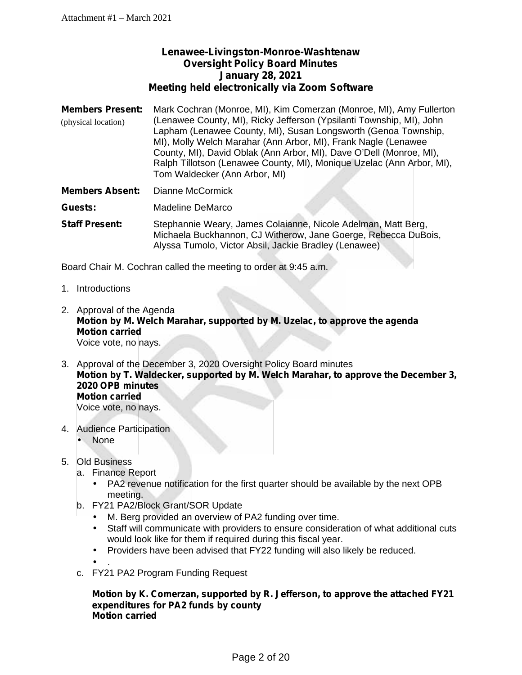# **Lenawee-Livingston-Monroe-Washtenaw Oversight Policy Board Minutes January 28, 2021 Meeting held electronically via Zoom Software**

- **Members Present:** Mark Cochran (Monroe, MI), Kim Comerzan (Monroe, MI), Amy Fullerton (Lenawee County, MI), Ricky Jefferson (Ypsilanti Township, MI), John Lapham (Lenawee County, MI), Susan Longsworth (Genoa Township, MI), Molly Welch Marahar (Ann Arbor, MI), Frank Nagle (Lenawee County, MI), David Oblak (Ann Arbor, MI), Dave O'Dell (Monroe, MI), Ralph Tillotson (Lenawee County, MI), Monique Uzelac (Ann Arbor, MI), Tom Waldecker (Ann Arbor, MI) (physical location)
- **Members Absent:** Dianne McCormick

**Guests:** Madeline DeMarco

**Staff Present:** Stephannie Weary, James Colaianne, Nicole Adelman, Matt Berg, Michaela Buckhannon, CJ Witherow, Jane Goerge, Rebecca DuBois, Alyssa Tumolo, Victor Absil, Jackie Bradley (Lenawee)

Board Chair M. Cochran called the meeting to order at 9:45 a.m.

- 1. Introductions
- 2. Approval of the Agenda **Motion by M. Welch Marahar, supported by M. Uzelac, to approve the agenda Motion carried** Voice vote, no nays.
- 3. Approval of the December 3, 2020 Oversight Policy Board minutes **Motion by T. Waldecker, supported by M. Welch Marahar, to approve the December 3, 2020 OPB minutes Motion carried** Voice vote, no nays.
- 4. Audience Participation None

### 5. Old Business

- a. Finance Report
	- PA2 revenue notification for the first quarter should be available by the next OPB meeting.
- b. FY21 PA2/Block Grant/SOR Update
	- M. Berg provided an overview of PA2 funding over time.
	- Staff will communicate with providers to ensure consideration of what additional cuts would look like for them if required during this fiscal year.

Providers have been advised that FY22 funding will also likely be reduced.

 $\int$  . c. FY21 PA2 Program Funding Request

### **Motion by K. Comerzan, supported by R. Jefferson, to approve the attached FY21 expenditures for PA2 funds by county Motion carried**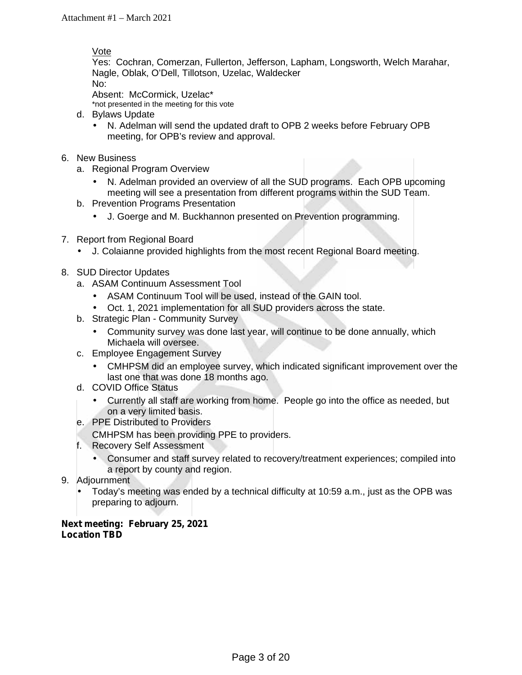Vote

Yes: Cochran, Comerzan, Fullerton, Jefferson, Lapham, Longsworth, Welch Marahar, Nagle, Oblak, O'Dell, Tillotson, Uzelac, Waldecker No:

Absent: McCormick, Uzelac\*

\*not presented in the meeting for this vote

- d. Bylaws Update
	- N. Adelman will send the updated draft to OPB 2 weeks before February OPB meeting, for OPB's review and approval.
- 6. New Business
	- a. Regional Program Overview
		- N. Adelman provided an overview of all the SUD programs. Each OPB upcoming meeting will see a presentation from different programs within the SUD Team.
	- b. Prevention Programs Presentation
		- J. Goerge and M. Buckhannon presented on Prevention programming.
- 7. Report from Regional Board
	- J. Colaianne provided highlights from the most recent Regional Board meeting.
- 8. SUD Director Updates
	- a. ASAM Continuum Assessment Tool
		- ASAM Continuum Tool will be used, instead of the GAIN tool.
		- Oct. 1, 2021 implementation for all SUD providers across the state.
	- b. Strategic Plan Community Survey
		- Community survey was done last year, will continue to be done annually, which Michaela will oversee.
	- c. Employee Engagement Survey
		- CMHPSM did an employee survey, which indicated significant improvement over the last one that was done 18 months ago.
	- d. COVID Office Status
		- Currently all staff are working from home. People go into the office as needed, but on a very limited basis.
	- e. PPE Distributed to Providers
	- CMHPSM has been providing PPE to providers.
	- f. Recovery Self Assessment
		- Consumer and staff survey related to recovery/treatment experiences; compiled into a report by county and region.
- 9. Adjournment
	- Today's meeting was ended by a technical difficulty at 10:59 a.m., just as the OPB was preparing to adjourn.

### **Next meeting: February 25, 2021 Location TBD**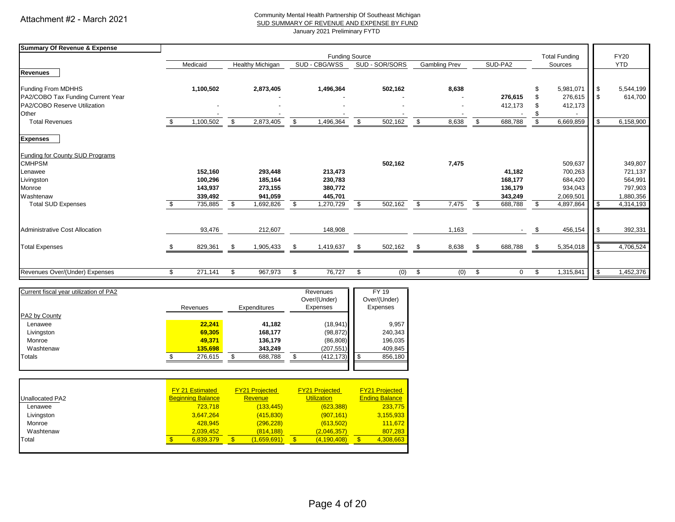#### Community Mental Health Partnership Of Southeast Michigan SUD SUMMARY OF REVENUE AND EXPENSE BY FUND

January 2021 Preliminary FYTD

| <b>Summary Of Revenue &amp; Expense</b> |                       |           |     |                  |     |               |     |                |                      |                      |    |         |    |           |                          |            |  |
|-----------------------------------------|-----------------------|-----------|-----|------------------|-----|---------------|-----|----------------|----------------------|----------------------|----|---------|----|-----------|--------------------------|------------|--|
|                                         | <b>Funding Source</b> |           |     |                  |     |               |     |                | <b>Total Funding</b> | <b>FY20</b>          |    |         |    |           |                          |            |  |
|                                         |                       | Medicaid  |     | Healthy Michigan |     | SUD - CBG/WSS |     | SUD - SOR/SORS |                      | <b>Gambling Prev</b> |    | SUD-PA2 |    | Sources   |                          | <b>YTD</b> |  |
| <b>Revenues</b>                         |                       |           |     |                  |     |               |     |                |                      |                      |    |         |    |           |                          |            |  |
| Funding From MDHHS                      |                       | 1,100,502 |     | 2,873,405        |     | 1,496,364     |     | 502,162        |                      | 8,638                |    |         |    | 5,981,071 | $\overline{\phantom{a}}$ | 5,544,199  |  |
| PA2/COBO Tax Funding Current Year       |                       |           |     |                  |     |               |     |                |                      |                      |    | 276,615 |    | 276,615   | <b>IS</b>                | 614,700    |  |
| PA2/COBO Reserve Utilization            |                       |           |     |                  |     |               |     |                |                      |                      |    | 412,173 |    | 412,173   |                          |            |  |
| Other                                   |                       |           |     |                  |     |               |     |                |                      |                      |    |         |    |           |                          |            |  |
| <b>Total Revenues</b>                   |                       | 1,100,502 | \$  | 2,873,405        | \$  | 1,496,364     | \$  | 502,162        | \$                   | 8,638                | \$ | 688,788 |    | 6,669,859 | l \$                     | 6,158,900  |  |
| <b>Expenses</b>                         |                       |           |     |                  |     |               |     |                |                      |                      |    |         |    |           |                          |            |  |
| <b>Funding for County SUD Programs</b>  |                       |           |     |                  |     |               |     |                |                      |                      |    |         |    |           |                          |            |  |
| <b>CMHPSM</b>                           |                       |           |     |                  |     |               |     | 502,162        |                      | 7,475                |    |         |    | 509,637   |                          | 349,807    |  |
| Lenawee                                 |                       | 152,160   |     | 293,448          |     | 213,473       |     |                |                      |                      |    | 41,182  |    | 700,263   |                          | 721,137    |  |
| Livingston                              |                       | 100,296   |     | 185,164          |     | 230,783       |     |                |                      |                      |    | 168,177 |    | 684,420   |                          | 564,991    |  |
| Monroe                                  |                       | 143,937   |     | 273,155          |     | 380,772       |     |                |                      |                      |    | 136,179 |    | 934,043   |                          | 797,903    |  |
| Washtenaw                               |                       | 339,492   |     | 941,059          |     | 445,701       |     |                |                      |                      |    | 343,249 |    | 2,069,501 |                          | 1,880,356  |  |
| <b>Total SUD Expenses</b>               |                       | 735,885   |     | 1,692,826        | -\$ | 1,270,729     | \$. | 502,162        | \$                   | 7,475                |    | 688,788 | \$ | 4,897,864 | l \$                     | 4,314,193  |  |
| <b>Administrative Cost Allocation</b>   |                       | 93,476    |     | 212,607          |     | 148,908       |     |                |                      | 1,163                |    |         |    | 456,154   | l \$                     | 392,331    |  |
| <b>Total Expenses</b>                   |                       | 829,361   | \$. | 1,905,433        | -\$ | 1,419,637     | \$  | 502,162        | \$                   | 8,638                | \$ | 688,788 | \$ | 5,354,018 | l \$                     | 4,706,524  |  |
|                                         |                       |           |     |                  |     |               |     |                |                      |                      |    |         |    |           |                          |            |  |
| Revenues Over/(Under) Expenses          | \$                    | 271,141   | \$  | 967,973          | -\$ | 76,727        | \$  | (0)            | \$                   | (0)                  | \$ | 0       | \$ | 1,315,841 | l \$                     | 1,452,376  |  |
|                                         |                       |           |     |                  |     |               |     |                |                      |                      |    |         |    |           |                          |            |  |

| Current fiscal year utilization of PA2 | Revenues | <b>Expenditures</b> | Revenues<br>Over/(Under)<br>Expenses | FY 19<br>Over/(Under)<br>Expenses |
|----------------------------------------|----------|---------------------|--------------------------------------|-----------------------------------|
| PA2 by County                          |          |                     |                                      |                                   |
| Lenawee                                | 22.241   | 41,182              | (18, 941)                            | 9.957                             |
| Livingston                             | 69,305   | 168,177             | (98, 872)                            | 240,343                           |
| Monroe                                 | 49.371   | 136,179             | (86, 808)                            | 196,035                           |
| Washtenaw                              | 135,698  | 343,249             | (207, 551)                           | 409,845                           |
| Totals                                 | 276,615  | 688,788             | (412, 173)                           | 856,180                           |
|                                        |          |                     |                                      |                                   |

|                        | <b>FY 21 Estimated</b>   | <b>FY21 Projected</b> | <b>FY21 Projected</b> | <b>FY21 Projected</b> |
|------------------------|--------------------------|-----------------------|-----------------------|-----------------------|
| <b>Unallocated PA2</b> | <b>Beginning Balance</b> | Revenue               | <b>Utilization</b>    | <b>Ending Balance</b> |
| Lenawee                | 723.718                  | (133, 445)            | (623, 388)            | 233.775               |
| Livingston             | 3,647,264                | (415, 830)            | (907, 161)            | 3,155,933             |
| Monroe                 | 428.945                  | (296, 228)            | (613, 502)            | 111.672               |
| Washtenaw              | 2.039.452                | (814, 188)            | (2,046,357)           | 807.283               |
| Total                  | 6.839.379                | (1,659,691)           | (4, 190, 408)         | 4,308,663<br>£.       |
|                        |                          |                       |                       |                       |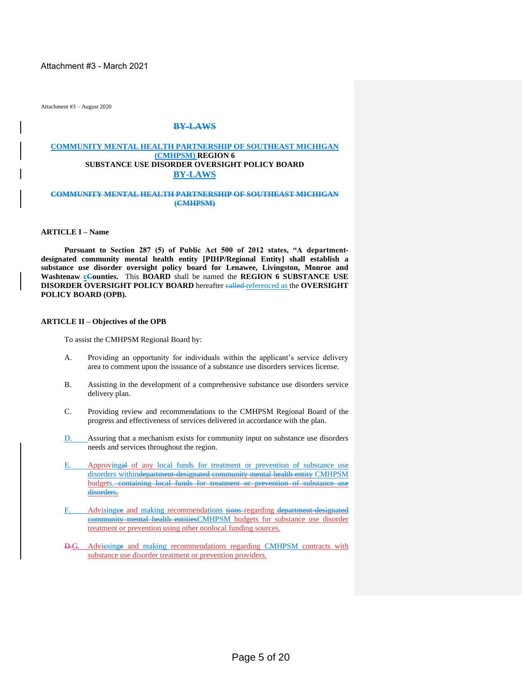Attachment #3 - March 2021

Attachment #3 – August 2020

#### **BY-LAWS**

#### **COMMUNITY MENTAL HEALTH PARTNERSHIP OF SOUTHEAST MICHIGAN (CMHPSM) REGION 6 SUBSTANCE USE DISORDER OVERSIGHT POLICY BOARD BY-LAWS**

#### **COMMUNITY MENTAL HEALTH PARTNERSHIP OF SOUTHEAST MICHIGAN (CMHPSM)**

#### **ARTICLE I – Name**

**Pursuant to Section 287 (5) of Public Act 500 of 2012 states, "A departmentdesignated community mental health entity [PIHP/Regional Entity] shall establish a substance use disorder oversight policy board for Lenawee, Livingston, Monroe and Washtenaw cCounties.** This **BOARD** shall be named the **REGION** 6 **SUBSTANCE** USE **DISORDER OVERSIGHT POLICY BOARD** hereafter called referenced as the **OVERSIGHT POLICY BOARD (OPB).**

#### **ARTICLE II – Objectives of the OPB**

To assist the CMHPSM Regional Board by:

- A. Providing an opportunity for individuals within the applicant's service delivery area to comment upon the issuance of a substance use disorders services license.
- B. Assisting in the development of a comprehensive substance use disorders service delivery plan.
- C. Providing review and recommendations to the CMHPSM Regional Board of the progress and effectiveness of services delivered in accordance with the plan.
- D. Assuring that a mechanism exists for community input on substance use disorders needs and services throughout the region.
- E. Approvingal of any local funds for treatment or prevention of substance use disorders withindepartment-designated community mental health entity CMHPSM budgets. containing local funds for treatment or prevention of substance use disorders.
- F. Advisingee and making recommendations tions regarding department-designated community mental health entitiesCMHPSM budgets for substance use disorder treatment or prevention using other nonlocal funding sources.
- D.G. Adviesinge and making recommendations regarding CMHPSM contracts with substance use disorder treatment or prevention providers.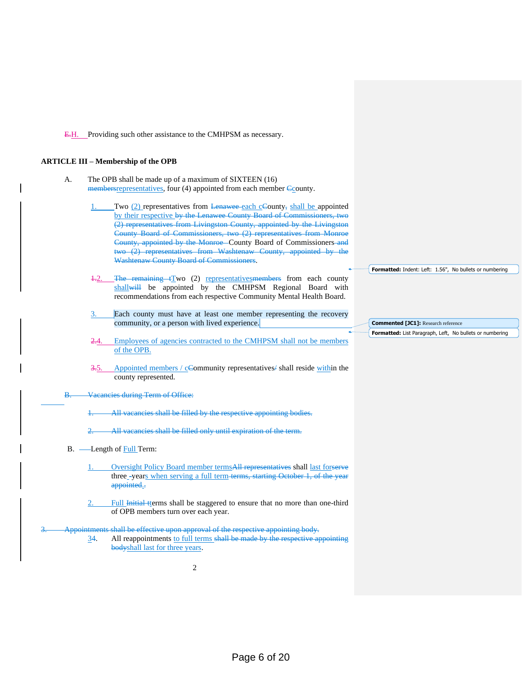E.H. Providing such other assistance to the CMHPSM as necessary.

#### **ARTICLE III – Membership of the OPB**

- A. The OPB shall be made up of a maximum of SIXTEEN (16) members representatives, four (4) appointed from each member County.
	- Two (2) representatives from Lenawee each cCounty, shall be appointed by their respective by the Lenawee County Board of Commissioners, two (2) representatives from Livingston County, appointed by the Livingston County Board of Commissioners, two (2) representatives from Monroe County, appointed by the Monroe County Board of Commissioners and two (2) representatives from Washtenaw County, appointed by the Washtenaw County Board of Commissioners.
	- The remaining  $tTwo$  (2) representatives members from each county shallwill be appointed by the CMHPSM Regional Board with recommendations from each respective Community Mental Health Board.
	- Each county must have at least one member representing the recovery community, or a person with lived experience.
	- 2.4. Employees of agencies contracted to the CMHPSM shall not be members of the OPB.
	- Appointed members / cCommunity representatives/ shall reside within the county represented.
- B. Vacancies during Term of Office:

All vacancies shall be filled by the respective appointing bodies.

All vacancies shall be filled only until expiration of the term.

- B. Length of Full Term:
	- Oversight Policy Board member termsAll representatives shall last forserve three -years when serving a full term terms, starting October 1, of the year appointed.-
	- Full Initial tterms shall be staggered to ensure that no more than one-third of OPB members turn over each year.

#### Appointments shall be effective upon approval of the respective appointing body.

34. All reappointments to full terms shall be made by the respective appointing bodyshall last for three years.

2

**Formatted:** Indent: Left: 1.56", No bullets or numbering

**Commented [JC1]:** Research reference **Formatted:** List Paragraph, Left, No bullets or numbering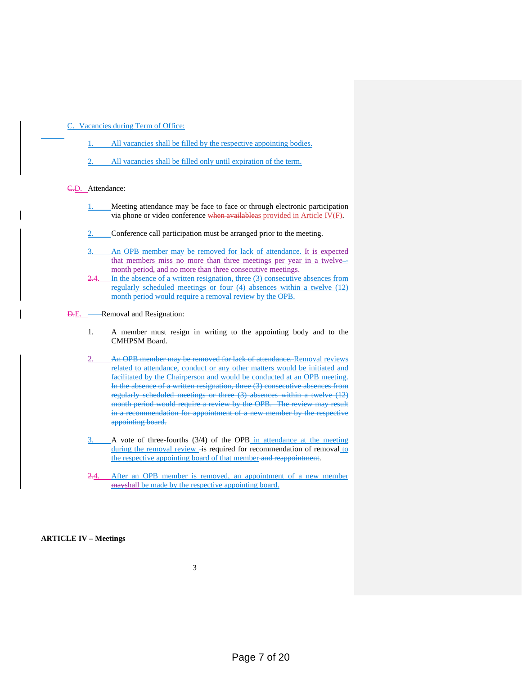C. Vacancies during Term of Office:

- All vacancies shall be filled by the respective appointing bodies.
- All vacancies shall be filled only until expiration of the term.

C.D. Attendance:

- 1. Meeting attendance may be face to face or through electronic participation via phone or video conference when availableas provided in Article IV(F).
- 2. Conference call participation must be arranged prior to the meeting.
- 3. An OPB member may be removed for lack of attendance. It is expected that members miss no more than three meetings per year in a twelvemonth period, and no more than three consecutive meetings.
- In the absence of a written resignation, three  $(3)$  consecutive absences from regularly scheduled meetings or four (4) absences within a twelve (12) month period would require a removal review by the OPB.
- **D.E.** Removal and Resignation:
	- 1. A member must resign in writing to the appointing body and to the CMHPSM Board.
	- An OPB member may be removed for lack of attendance. Removal reviews related to attendance, conduct or any other matters would be initiated and facilitated by the Chairperson and would be conducted at an OPB meeting. In the absence of a written resignation, three (3) consecutive absences from regularly scheduled meetings or three (3) absences within a twelve (12) month period would require a review by the OPB. The review may result in a recommendation for appointment of a new member by the respective appointing board.
	- A vote of three-fourths (3/4) of the OPB in attendance at the meeting during the removal review - is required for recommendation of removal to the respective appointing board of that member and reappointment.
	- After an OPB member is removed, an appointment of a new member mayshall be made by the respective appointing board.

#### **ARTICLE IV – Meetings**

3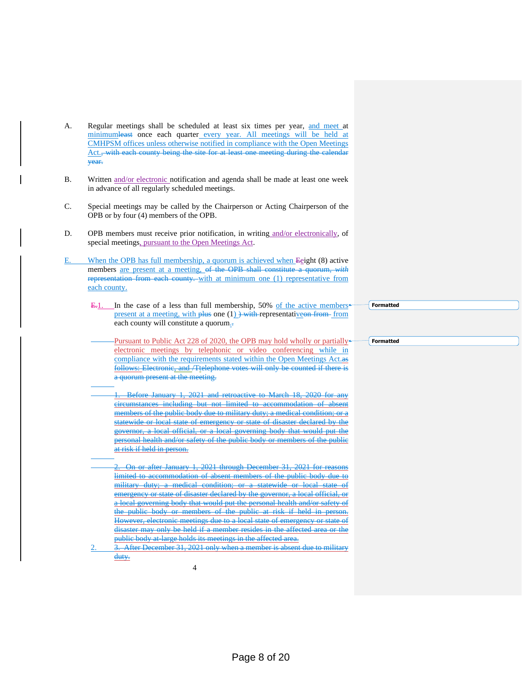- A. Regular meetings shall be scheduled at least six times per year, and meet at minimumleast once each quarter every year. All meetings will be held at CMHPSM offices unless otherwise notified in compliance with the Open Meetings Act.<del>, with each county being the site for at least one meeting during the calendar</del> year.
- B. Written and/or electronic notification and agenda shall be made at least one week in advance of all regularly scheduled meetings.
- C. Special meetings may be called by the Chairperson or Acting Chairperson of the OPB or by four (4) members of the OPB.
- D. OPB members must receive prior notification, in writing and/or electronically, of special meetings, pursuant to the Open Meetings Act.
- E. When the OPB has full membership, a quorum is achieved when Eeight (8) active members are present at a meeting, of the OPB shall constitute a quorum, *with*  representation from each county. with at minimum one (1) representative from each county.
	- E.1. In the case of a less than full membership, 50% of the active members<sup>+</sup> present at a meeting, with plus one  $(1)$ ) with representative on from from each county will constitute a quorum.
		- Pursuant to Public Act 228 of 2020, the OPB may hold wholly or partially<sup>\*</sup> electronic meetings by telephonic or video conferencing while in compliance with the requirements stated within the Open Meetings Act. follows: Electronic, and /Ttelephone votes will only be counted if there is a quorum present at the meeting.
		- 1. Before January 1, 2021 and retroactive to March 18, 2020 for any circumstances including but not limited to accommodation of absent members of the public body due to military duty; a medical condition; or a statewide or local state of emergency or state of disaster declared by the governor, a local official, or a local governing body that would put the personal health and/or safety of the public body or members of the public at risk if held in person.
		- 2. On or after January 1, 2021 through December 31, 2021 for reasons limited to accommodation of absent members of the public body due to military duty; a medical condition; or a statewide or local state of emergency or state of disaster declared by the governor, a local official, or a local governing body that would put the personal health and/or safety of the public body or members of the public at risk if held in person. However, electronic meetings due to a local state of emergency or state of disaster may only be held if a member resides in the affected area or the public body at large holds its meetings in the affected area.
	- 3. After December 31, 2021 only when a member is absent due to military duty.

4

**Formatted**

**Formatted**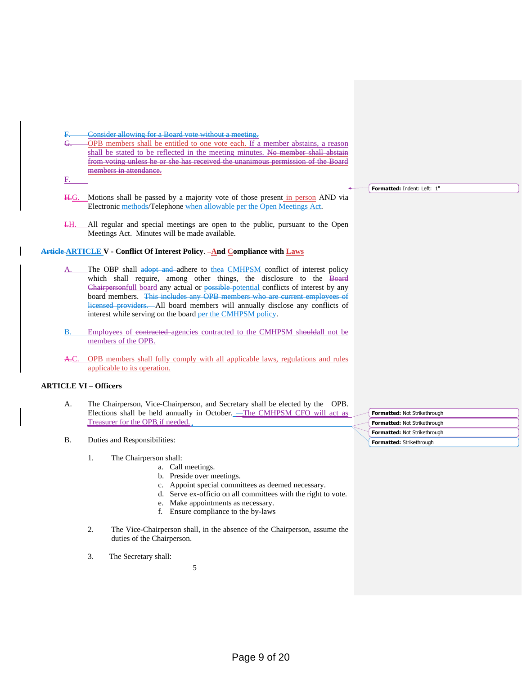#### Consider allowing for a Board vote without a meeting.

G. OPB members shall be entitled to one vote each. If a member abstains, a reason shall be stated to be reflected in the meeting minutes. No member shall abstain from voting unless he or she has received the unanimous p members in attendance.

#### F.

- H.G. Motions shall be passed by a majority vote of those present in person AND via Electronic methods/Telephone when allowable per the Open Meetings Act.
- I.H. All regular and special meetings are open to the public, pursuant to the Open Meetings Act. Minutes will be made available.

#### **Article ARTICLE V - Conflict Of Interest Policy**. **And Compliance with Laws**

- The OBP shall adopt and adhere to thea CMHPSM conflict of interest policy which shall require, among other things, the disclosure to the Board Chairpersonfull board any actual or possible potential conflicts of interest by any board members. This includes any OPB members who are current employees of licensed providers. All board members will annually disclose any conflicts of interest while serving on the board per the CMHPSM policy.
- B. Employees of contracted agencies contracted to the CMHPSM shouldall not be members of the OPB.
- A.C. OPB members shall fully comply with all applicable laws, regulations and rules applicable to its operation.

#### **ARTICLE VI – Officers**

- A. The Chairperson, Vice-Chairperson, and Secretary shall be elected by the OPB. Elections shall be held annually in October. -The CMHPSM CFO will act as Treasurer for the OPB if needed.
- B. Duties and Responsibilities:
	- 1. The Chairperson shall:
		- a. Call meetings.
			- b. Preside over meetings.
			- c. Appoint special committees as deemed necessary.
			- d. Serve ex-officio on all committees with the right to vote.
			- e. Make appointments as necessary.
			- f. Ensure compliance to the by-laws
	- 2. The Vice-Chairperson shall, in the absence of the Chairperson, assume the duties of the Chairperson.
	- 3. The Secretary shall:

5

**Formatted:** Indent: Left: 1"

**Formatted:** Not Strikethrough **Formatted:** Not Strikethrough **Formatted:** Not Strikethrough **Formatted:** Strikethrough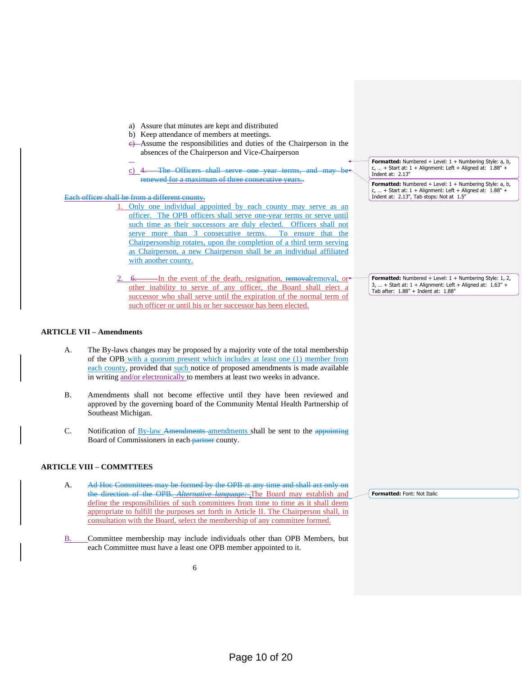- a) Assure that minutes are kept and distributed
- b) Keep attendance of members at meetings.
- c) Assume the responsibilities and duties of the Chairperson in the absences of the Chairperson and Vice-Chairperson
- c) 4. The Officers shall serve one year terms, and may renewed for a maximum of three consecutive years..

Each officer shall be from a different county.

- 1. Only one individual appointed by each county may serve as an officer. The OPB officers shall serve one-year terms or serve until such time as their successors are duly elected. Officers shall not serve more than 3 consecutive terms. To ensure that Chairpersonship rotates, upon the completion of a third term serving as Chairperson, a new Chairperson shall be an individual affiliated with another county.
- 6. In the event of the death, resignation, removalremoval, or other inability to serve of any officer, the Board shall elect a successor who shall serve until the expiration of the normal term of such officer or until his or her successor has been elected.

#### **ARTICLE VII – Amendments**

- A. The By-laws changes may be proposed by a majority vote of the total membership of the OPB with a quorum present which includes at least one (1) member from each county, provided that such notice of proposed amendments is made available in writing and/or electronically to members at least two weeks in advance.
- B. Amendments shall not become effective until they have been reviewed and approved by the governing board of the Community Mental Health Partnership of Southeast Michigan.
- C. Notification of By-law Amendments amendments shall be sent to the appointing Board of Commissioners in each partner county.

#### **ARTICLE VIII – COMMTTEES**

- A. Ad Hoc Committees may be formed by the OPB at any time and shall act only on the direction of the OPB. *Alternative language:* The Board may establish and define the responsibilities of such committees from time to time as it shall deem appropriate to fulfill the purposes set forth in Article II. The Chairperson shall, in consultation with the Board, select the membership of any committee formed.
- B. Committee membership may include individuals other than OPB Members, but each Committee must have a least one OPB member appointed to it.

6

**Formatted:** Numbered + Level: 1 + Numbering Style: a, b,  $c, ... +$  Start at:  $1 +$  Alignment: Left + Aligned at:  $1.88" +$ Indent at: 2.13"

Formatted: Numbered + Level: 1 + Numbering Style: a, b,  $c, ... +$  Start at:  $1 +$  Alignment: Left + Aligned at:  $1.88" +$ Indent at: 2.13", Tab stops: Not at 1.5"

**Formatted:** Numbered + Level: 1 + Numbering Style: 1, 2,  $. +$  Start at: 1 + Alignment: Left + Aligned at: 1.63" + Tab after: 1.88" + Indent at: 1.88"

**Formatted:** Font: Not Italic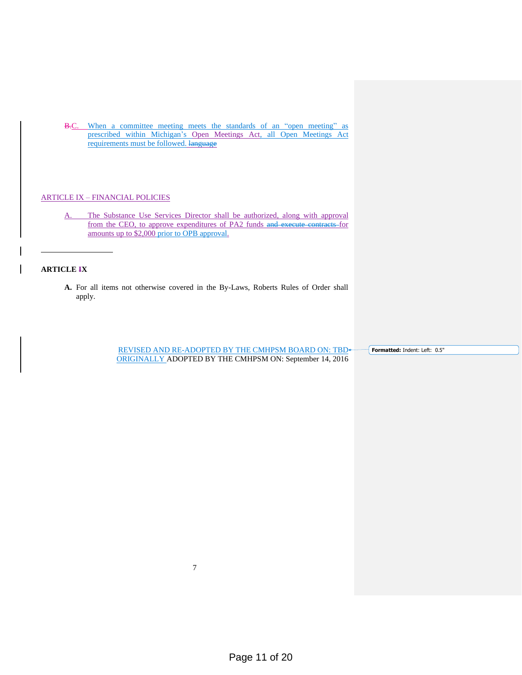B.C. When a committee meeting meets the standards of an "open meeting" as prescribed within Michigan's Open Meetings Act, all Open Meetings Act requirements must be followed. Hanguage

#### ARTICLE IX – FINANCIAL POLICIES

A. The Substance Use Services Director shall be authorized, along with approval from the CEO, to approve expenditures of PA2 funds and execute contracts for amounts up to \$2,000 prior to OPB approval.

#### **ARTICLE IX**

**A.** For all items not otherwise covered in the By-Laws, Roberts Rules of Order shall apply.

> REVISED AND RE-ADOPTED BY THE CMHPSM BOARD ON: TBD ORIGINALLY ADOPTED BY THE CMHPSM ON: September 14, 2016

**Formatted:** Indent: Left: 0.5"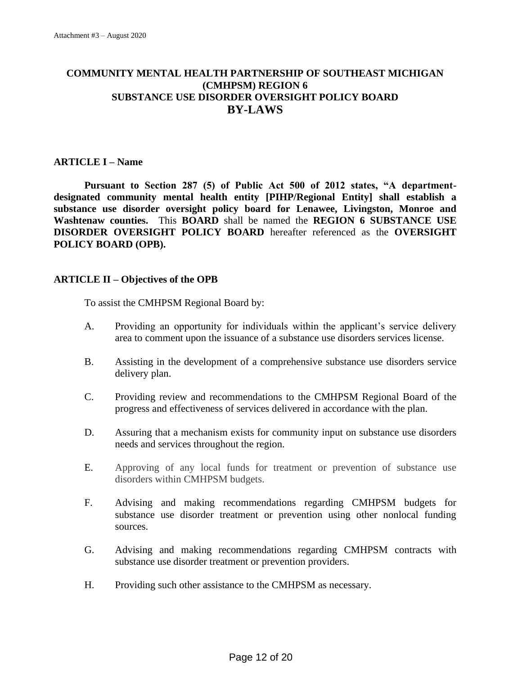# **COMMUNITY MENTAL HEALTH PARTNERSHIP OF SOUTHEAST MICHIGAN (CMHPSM) REGION 6 SUBSTANCE USE DISORDER OVERSIGHT POLICY BOARD BY-LAWS**

# **ARTICLE I – Name**

**Pursuant to Section 287 (5) of Public Act 500 of 2012 states, "A departmentdesignated community mental health entity [PIHP/Regional Entity] shall establish a substance use disorder oversight policy board for Lenawee, Livingston, Monroe and Washtenaw counties.** This **BOARD** shall be named the **REGION 6 SUBSTANCE USE DISORDER OVERSIGHT POLICY BOARD** hereafter referenced as the **OVERSIGHT POLICY BOARD (OPB).**

### **ARTICLE II – Objectives of the OPB**

To assist the CMHPSM Regional Board by:

- A. Providing an opportunity for individuals within the applicant's service delivery area to comment upon the issuance of a substance use disorders services license.
- B. Assisting in the development of a comprehensive substance use disorders service delivery plan.
- C. Providing review and recommendations to the CMHPSM Regional Board of the progress and effectiveness of services delivered in accordance with the plan.
- D. Assuring that a mechanism exists for community input on substance use disorders needs and services throughout the region.
- E. Approving of any local funds for treatment or prevention of substance use disorders within CMHPSM budgets.
- F. Advising and making recommendations regarding CMHPSM budgets for substance use disorder treatment or prevention using other nonlocal funding sources.
- G. Advising and making recommendations regarding CMHPSM contracts with substance use disorder treatment or prevention providers.
- H. Providing such other assistance to the CMHPSM as necessary.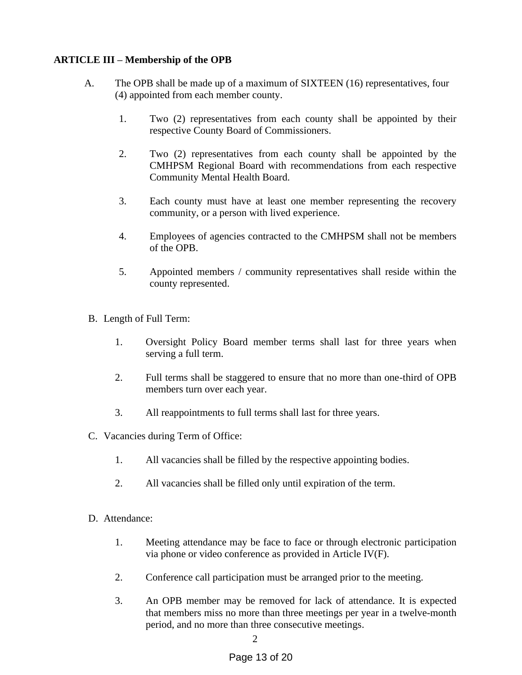# **ARTICLE III – Membership of the OPB**

- A. The OPB shall be made up of a maximum of SIXTEEN (16) representatives, four (4) appointed from each member county.
	- 1. Two (2) representatives from each county shall be appointed by their respective County Board of Commissioners.
	- 2. Two (2) representatives from each county shall be appointed by the CMHPSM Regional Board with recommendations from each respective Community Mental Health Board.
	- 3. Each county must have at least one member representing the recovery community, or a person with lived experience.
	- 4. Employees of agencies contracted to the CMHPSM shall not be members of the OPB.
	- 5. Appointed members / community representatives shall reside within the county represented.
- B. Length of Full Term:
	- 1. Oversight Policy Board member terms shall last for three years when serving a full term.
	- 2. Full terms shall be staggered to ensure that no more than one-third of OPB members turn over each year.
	- 3. All reappointments to full terms shall last for three years.
- C. Vacancies during Term of Office:
	- 1. All vacancies shall be filled by the respective appointing bodies.
	- 2. All vacancies shall be filled only until expiration of the term.
- D. Attendance:
	- 1. Meeting attendance may be face to face or through electronic participation via phone or video conference as provided in Article IV(F).
	- 2. Conference call participation must be arranged prior to the meeting.
	- 3. An OPB member may be removed for lack of attendance. It is expected that members miss no more than three meetings per year in a twelve-month period, and no more than three consecutive meetings.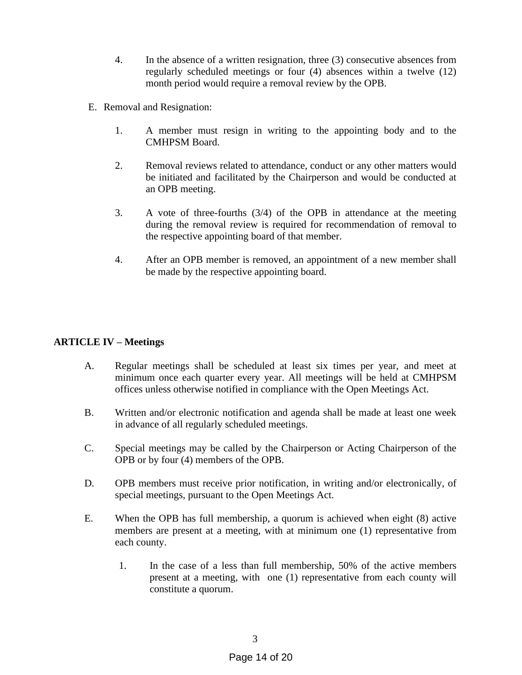- 4. In the absence of a written resignation, three (3) consecutive absences from regularly scheduled meetings or four (4) absences within a twelve (12) month period would require a removal review by the OPB.
- E. Removal and Resignation:
	- 1. A member must resign in writing to the appointing body and to the CMHPSM Board.
	- 2. Removal reviews related to attendance, conduct or any other matters would be initiated and facilitated by the Chairperson and would be conducted at an OPB meeting.
	- 3. A vote of three-fourths (3/4) of the OPB in attendance at the meeting during the removal review is required for recommendation of removal to the respective appointing board of that member.
	- 4. After an OPB member is removed, an appointment of a new member shall be made by the respective appointing board.

# **ARTICLE IV – Meetings**

- A. Regular meetings shall be scheduled at least six times per year, and meet at minimum once each quarter every year. All meetings will be held at CMHPSM offices unless otherwise notified in compliance with the Open Meetings Act.
- B. Written and/or electronic notification and agenda shall be made at least one week in advance of all regularly scheduled meetings.
- C. Special meetings may be called by the Chairperson or Acting Chairperson of the OPB or by four (4) members of the OPB.
- D. OPB members must receive prior notification, in writing and/or electronically, of special meetings, pursuant to the Open Meetings Act.
- E. When the OPB has full membership, a quorum is achieved when eight (8) active members are present at a meeting, with at minimum one (1) representative from each county.
	- 1. In the case of a less than full membership, 50% of the active members present at a meeting, with one (1) representative from each county will constitute a quorum.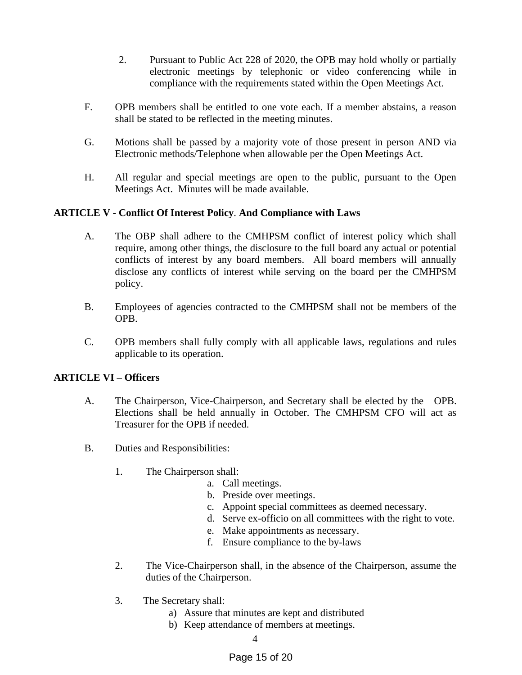- 2. Pursuant to Public Act 228 of 2020, the OPB may hold wholly or partially electronic meetings by telephonic or video conferencing while in compliance with the requirements stated within the Open Meetings Act.
- F. OPB members shall be entitled to one vote each. If a member abstains, a reason shall be stated to be reflected in the meeting minutes.
- G. Motions shall be passed by a majority vote of those present in person AND via Electronic methods/Telephone when allowable per the Open Meetings Act.
- H. All regular and special meetings are open to the public, pursuant to the Open Meetings Act. Minutes will be made available.

# **ARTICLE V - Conflict Of Interest Policy**. **And Compliance with Laws**

- A. The OBP shall adhere to the CMHPSM conflict of interest policy which shall require, among other things, the disclosure to the full board any actual or potential conflicts of interest by any board members. All board members will annually disclose any conflicts of interest while serving on the board per the CMHPSM policy.
- B. Employees of agencies contracted to the CMHPSM shall not be members of the OPB.
- C. OPB members shall fully comply with all applicable laws, regulations and rules applicable to its operation.

# **ARTICLE VI – Officers**

- A. The Chairperson, Vice-Chairperson, and Secretary shall be elected by the OPB. Elections shall be held annually in October. The CMHPSM CFO will act as Treasurer for the OPB if needed.
- B. Duties and Responsibilities:
	- 1. The Chairperson shall:
		- a. Call meetings.
		- b. Preside over meetings.
		- c. Appoint special committees as deemed necessary.
		- d. Serve ex-officio on all committees with the right to vote.
		- e. Make appointments as necessary.
		- f. Ensure compliance to the by-laws
	- 2. The Vice-Chairperson shall, in the absence of the Chairperson, assume the duties of the Chairperson.
	- 3. The Secretary shall:
		- a) Assure that minutes are kept and distributed
		- b) Keep attendance of members at meetings.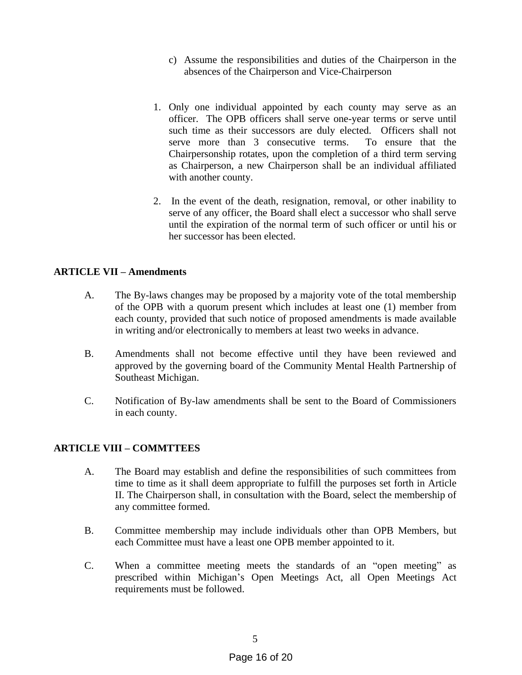- c) Assume the responsibilities and duties of the Chairperson in the absences of the Chairperson and Vice-Chairperson
- 1. Only one individual appointed by each county may serve as an officer. The OPB officers shall serve one-year terms or serve until such time as their successors are duly elected. Officers shall not serve more than 3 consecutive terms. To ensure that the Chairpersonship rotates, upon the completion of a third term serving as Chairperson, a new Chairperson shall be an individual affiliated with another county.
- 2. In the event of the death, resignation, removal, or other inability to serve of any officer, the Board shall elect a successor who shall serve until the expiration of the normal term of such officer or until his or her successor has been elected.

# **ARTICLE VII – Amendments**

- A. The By-laws changes may be proposed by a majority vote of the total membership of the OPB with a quorum present which includes at least one (1) member from each county, provided that such notice of proposed amendments is made available in writing and/or electronically to members at least two weeks in advance.
- B. Amendments shall not become effective until they have been reviewed and approved by the governing board of the Community Mental Health Partnership of Southeast Michigan.
- C. Notification of By-law amendments shall be sent to the Board of Commissioners in each county.

# **ARTICLE VIII – COMMTTEES**

- A. The Board may establish and define the responsibilities of such committees from time to time as it shall deem appropriate to fulfill the purposes set forth in Article II. The Chairperson shall, in consultation with the Board, select the membership of any committee formed.
- B. Committee membership may include individuals other than OPB Members, but each Committee must have a least one OPB member appointed to it.
- C. When a committee meeting meets the standards of an "open meeting" as prescribed within Michigan's Open Meetings Act, all Open Meetings Act requirements must be followed.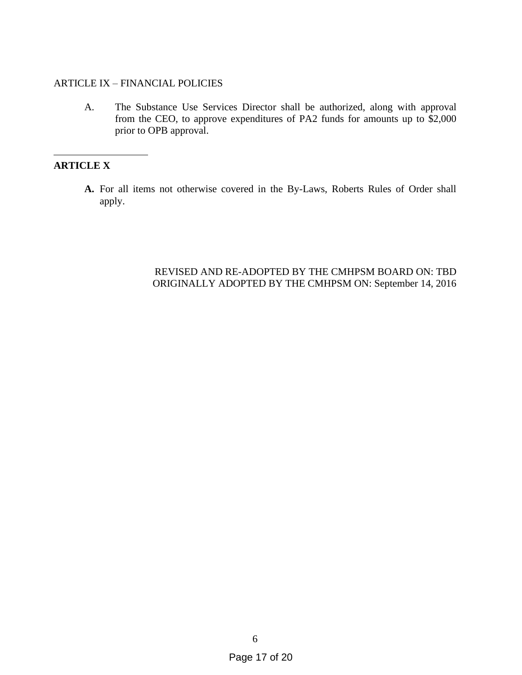### ARTICLE IX – FINANCIAL POLICIES

A. The Substance Use Services Director shall be authorized, along with approval from the CEO, to approve expenditures of PA2 funds for amounts up to \$2,000 prior to OPB approval.

# **ARTICLE X**

**A.** For all items not otherwise covered in the By-Laws, Roberts Rules of Order shall apply.

# REVISED AND RE-ADOPTED BY THE CMHPSM BOARD ON: TBD ORIGINALLY ADOPTED BY THE CMHPSM ON: September 14, 2016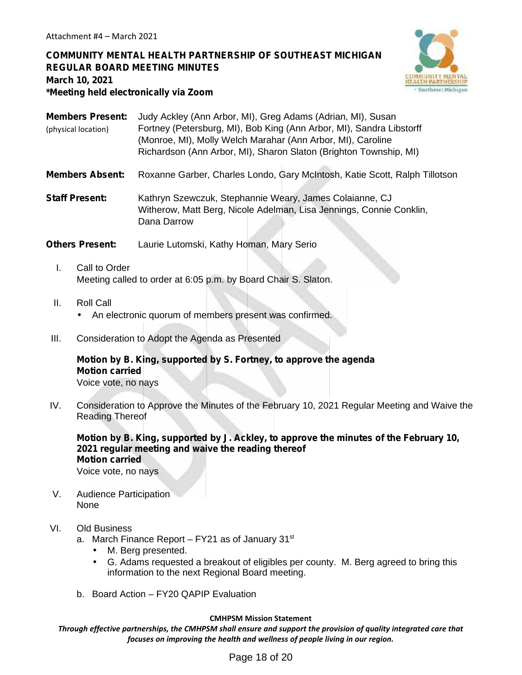# **COMMUNITY MENTAL HEALTH PARTNERSHIP OF SOUTHEAST MICHIGAN REGULAR BOARD MEETING MINUTES March 10, 2021 \*Meeting held electronically via Zoom**



- **Members Present:** Judy Ackley (Ann Arbor, MI), Greg Adams (Adrian, MI), Susan Fortney (Petersburg, MI), Bob King (Ann Arbor, MI), Sandra Libstorff (Monroe, MI), Molly Welch Marahar (Ann Arbor, MI), Caroline Richardson (Ann Arbor, MI), Sharon Slaton (Brighton Township, MI) (physical location)
- **Members Absent:** Roxanne Garber, Charles Londo, Gary McIntosh, Katie Scott, Ralph Tillotson
- **Staff Present:** Kathryn Szewczuk, Stephannie Weary, James Colaianne, CJ Witherow, Matt Berg, Nicole Adelman, Lisa Jennings, Connie Conklin, Dana Darrow
- **Others Present:** Laurie Lutomski, Kathy Homan, Mary Serio
	- I. Call to Order Meeting called to order at 6:05 p.m. by Board Chair S. Slaton.
	- II. Roll Call An electronic quorum of members present was confirmed.
- III. Consideration to Adopt the Agenda as Presented

# **Motion by B. King, supported by S. Fortney, to approve the agenda Motion carried**

Voice vote, no nays

IV. Consideration to Approve the Minutes of the February 10, 2021 Regular Meeting and Waive the Reading Thereof

**Motion by B. King, supported by J. Ackley, to approve the minutes of the February 10, 2021 regular meeting and waive the reading thereof Motion carried** Voice vote, no nays

V. Audience Participation None

### VI. Old Business

- a. March Finance Report  $-$  FY21 as of January 31 $st$ 
	- J M. Berg presented.<br>J G. Adams requeste
	- G. Adams requested a breakout of eligibles per county. M. Berg agreed to bring this information to the next Regional Board meeting.
- b. Board Action FY20 QAPIP Evaluation

### **CMHPSM Mission Statement**

*Through effective partnerships, the CMHPSM shall ensure and support the provision of quality integrated care that focuses on improving the health and wellness of people living in our region.*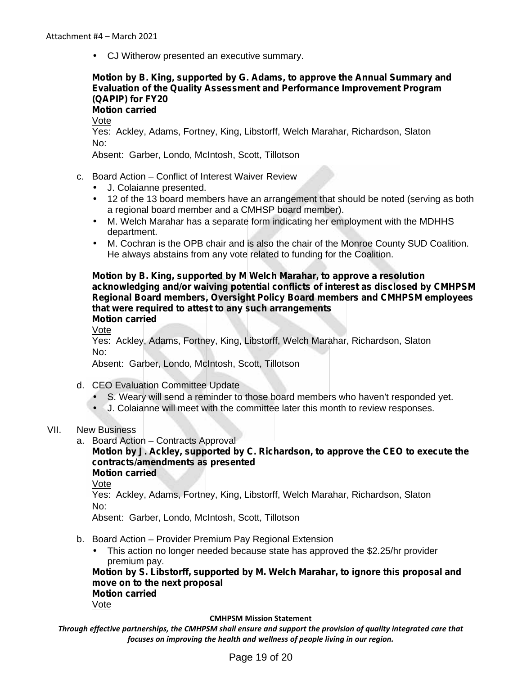CJ Witherow presented an executive summary.

# **Motion by B. King, supported by G. Adams, to approve the Annual Summary and Evaluation of the Quality Assessment and Performance Improvement Program (QAPIP) for FY20**

**Motion carried**

Vote

Yes: Ackley, Adams, Fortney, King, Libstorff, Welch Marahar, Richardson, Slaton No:

Absent: Garber, Londo, McIntosh, Scott, Tillotson

- c. Board Action Conflict of Interest Waiver Review
	- J. Colaianne presented.
	- 12 of the 13 board members have an arrangement that should be noted (serving as both a regional board member and a CMHSP board member).
	- M. Welch Marahar has a separate form indicating her employment with the MDHHS department.
	- M. Cochran is the OPB chair and is also the chair of the Monroe County SUD Coalition. He always abstains from any vote related to funding for the Coalition.

**Motion by B. King, supported by M Welch Marahar, to approve a resolution acknowledging and/or waiving potential conflicts of interest as disclosed by CMHPSM Regional Board members, Oversight Policy Board members and CMHPSM employees that were required to attest to any such arrangements Motion carried**

Vote

Yes: Ackley, Adams, Fortney, King, Libstorff, Welch Marahar, Richardson, Slaton No:

Absent: Garber, Londo, McIntosh, Scott, Tillotson

- d. CEO Evaluation Committee Update
	- S. Weary will send a reminder to those board members who haven't responded yet.
	- J. Colaianne will meet with the committee later this month to review responses.
- VII. New Business
	- a. Board Action Contracts Approval

#### **Motion by J. Ackley, supported by C. Richardson, to approve the CEO to execute the contracts/amendments as presented Motion carried**

Vote

Yes: Ackley, Adams, Fortney, King, Libstorff, Welch Marahar, Richardson, Slaton No:

Absent: Garber, Londo, McIntosh, Scott, Tillotson

b. Board Action – Provider Premium Pay Regional Extension

 This action no longer needed because state has approved the \$2.25/hr provider premium pay.

**Motion by S. Libstorff, supported by M. Welch Marahar, to ignore this proposal and move on to the next proposal Motion carried**

Vote

#### **CMHPSM Mission Statement**

*Through effective partnerships, the CMHPSM shall ensure and support the provision of quality integrated care that focuses on improving the health and wellness of people living in our region.*